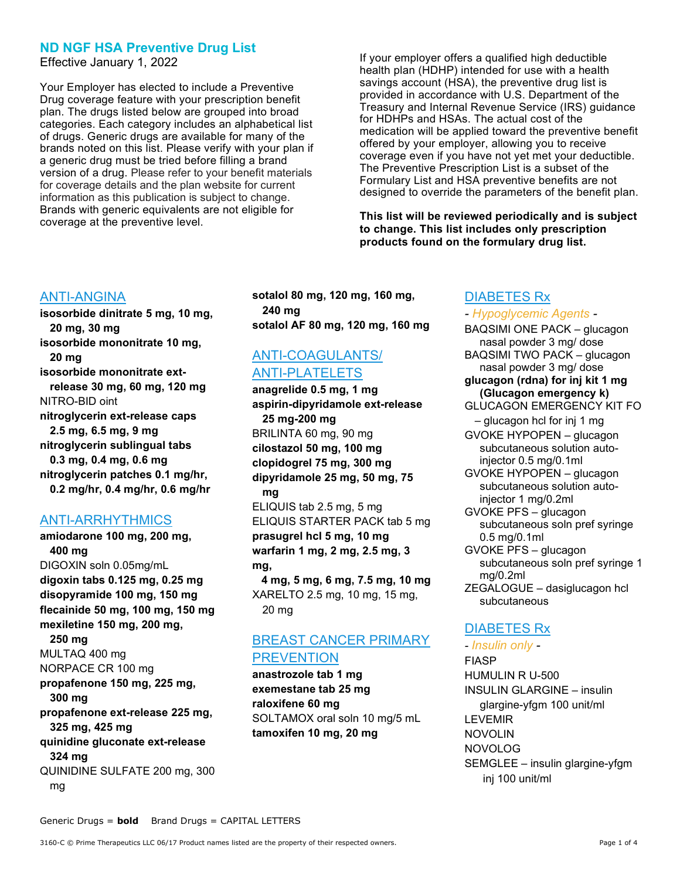# ND NGF HSA Preventive Drug List

Effective January 1, 2022

Your Employer has elected to include a Preventive Drug coverage feature with your prescription benefit plan. The drugs listed below are grouped into broad categories. Each category includes an alphabetical list of drugs. Generic drugs are available for many of the brands noted on this list. Please verify with your plan if a generic drug must be tried before filling a brand version of a drug. Please refer to your benefit materials for coverage details and the plan website for current information as this publication is subject to change. Brands with generic equivalents are not eligible for coverage at the preventive level.

If your employer offers a qualified high deductible health plan (HDHP) intended for use with a health savings account (HSA), the preventive drug list is provided in accordance with U.S. Department of the Treasury and Internal Revenue Service (IRS) guidance for HDHPs and HSAs. The actual cost of the medication will be applied toward the preventive benefit offered by your employer, allowing you to receive coverage even if you have not yet met your deductible. The Preventive Prescription List is a subset of the Formulary List and HSA preventive benefits are not designed to override the parameters of the benefit plan.

This list will be reviewed periodically and is subject to change. This list includes only prescription products found on the formulary drug list.

# ANTI-ANGINA

isosorbide dinitrate 5 mg, 10 mg, 20 mg, 30 mg isosorbide mononitrate 10 mg, 20 mg isosorbide mononitrate extrelease 30 mg, 60 mg, 120 mg NITRO-BID oint nitroglycerin ext-release caps 2.5 mg, 6.5 mg, 9 mg nitroglycerin sublingual tabs 0.3 mg, 0.4 mg, 0.6 mg nitroglycerin patches 0.1 mg/hr, 0.2 mg/hr, 0.4 mg/hr, 0.6 mg/hr

# ANTI-ARRHYTHMICS

amiodarone 100 mg, 200 mg, 400 mg DIGOXIN soln 0.05mg/mL digoxin tabs 0.125 mg, 0.25 mg disopyramide 100 mg, 150 mg flecainide 50 mg, 100 mg, 150 mg mexiletine 150 mg, 200 mg, 250 mg MULTAQ 400 mg NORPACE CR 100 mg propafenone 150 mg, 225 mg, 300 mg propafenone ext-release 225 mg, 325 mg, 425 mg quinidine gluconate ext-release 324 mg QUINIDINE SULFATE 200 mg, 300 mg

sotalol 80 mg, 120 mg, 160 mg, 240 mg sotalol AF 80 mg, 120 mg, 160 mg

# ANTI-COAGULANTS/ ANTI-PLATELETS

anagrelide 0.5 mg, 1 mg aspirin-dipyridamole ext-release 25 mg-200 mg BRILINTA 60 mg, 90 mg cilostazol 50 mg, 100 mg clopidogrel 75 mg, 300 mg dipyridamole 25 mg, 50 mg, 75 mg ELIQUIS tab 2.5 mg, 5 mg

ELIQUIS STARTER PACK tab 5 mg prasugrel hcl 5 mg, 10 mg warfarin 1 mg, 2 mg, 2.5 mg, 3 mg,

 4 mg, 5 mg, 6 mg, 7.5 mg, 10 mg XARELTO 2.5 mg, 10 mg, 15 mg, 20 mg

# BREAST CANCER PRIMARY **PREVENTION**

anastrozole tab 1 mg exemestane tab 25 mg raloxifene 60 mg SOLTAMOX oral soln 10 mg/5 mL tamoxifen 10 mg, 20 mg

# DIABETES Rx

#### - Hypoglycemic Agents -

BAQSIMI ONE PACK – glucagon nasal powder 3 mg/ dose BAQSIMI TWO PACK – glucagon nasal powder 3 mg/ dose glucagon (rdna) for inj kit 1 mg (Glucagon emergency k) GLUCAGON EMERGENCY KIT FO – glucagon hcl for inj 1 mg GVOKE HYPOPEN – glucagon subcutaneous solution autoinjector 0.5 mg/0.1ml GVOKE HYPOPEN – glucagon subcutaneous solution autoinjector 1 mg/0.2ml GVOKE PFS – glucagon subcutaneous soln pref syringe 0.5 mg/0.1ml GVOKE PFS – glucagon subcutaneous soln pref syringe 1 mg/0.2ml ZEGALOGUE – dasiglucagon hcl subcutaneous DIABETES Rx

- Insulin only - FIASP HUMULIN R U-500 INSULIN GLARGINE – insulin glargine-yfgm 100 unit/ml LEVEMIR NOVOLIN NOVOLOG SEMGLEE – insulin glargine-yfgm inj 100 unit/ml

Generic Drugs = **bold** Brand Drugs = CAPITAL LETTERS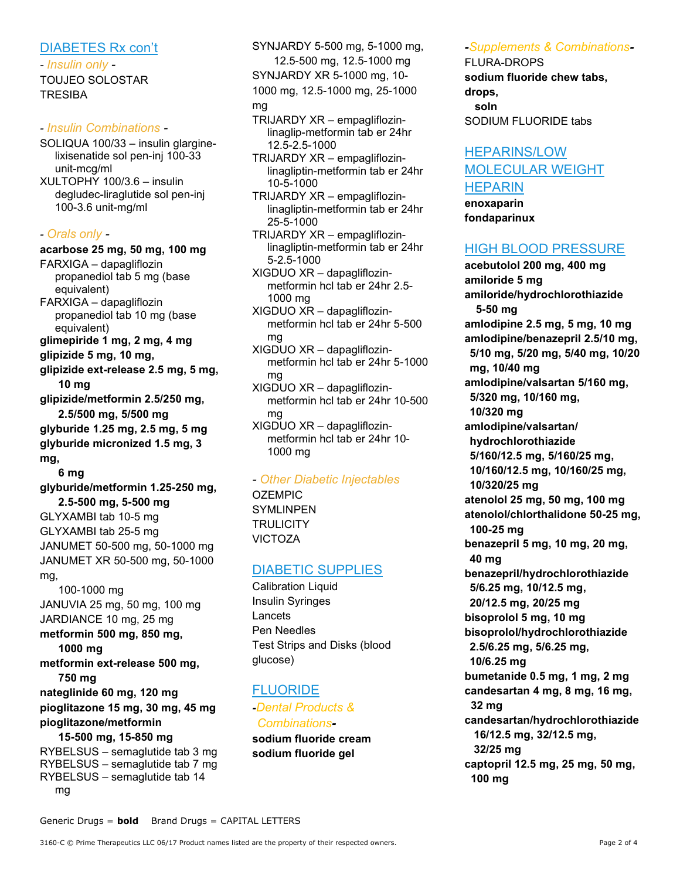## DIABETES Rx con't

- Insulin only - TOUJEO SOLOSTAR TRESIBA

### - Insulin Combinations -

- SOLIQUA 100/33 insulin glarginelixisenatide sol pen-inj 100-33 unit-mcg/ml
- XULTOPHY 100/3.6 insulin degludec-liraglutide sol pen-inj 100-3.6 unit-mg/ml

#### - Orals only -

#### acarbose 25 mg, 50 mg, 100 mg

FARXIGA – dapagliflozin propanediol tab 5 mg (base equivalent)

- FARXIGA dapagliflozin propanediol tab 10 mg (base equivalent)
- glimepiride 1 mg, 2 mg, 4 mg

glipizide 5 mg, 10 mg,

glipizide ext-release 2.5 mg, 5 mg, 10 mg

glipizide/metformin 2.5/250 mg, 2.5/500 mg, 5/500 mg

glyburide 1.25 mg, 2.5 mg, 5 mg glyburide micronized 1.5 mg, 3 mg,

6 mg

glyburide/metformin 1.25-250 mg, 2.5-500 mg, 5-500 mg

GLYXAMBI tab 10-5 mg GLYXAMBI tab 25-5 mg JANUMET 50-500 mg, 50-1000 mg JANUMET XR 50-500 mg, 50-1000 mg,

 100-1000 mg JANUVIA 25 mg, 50 mg, 100 mg JARDIANCE 10 mg, 25 mg metformin 500 mg, 850 mg,

 1000 mg metformin ext-release 500 mg, 750 mg nateglinide 60 mg, 120 mg

# pioglitazone 15 mg, 30 mg, 45 mg pioglitazone/metformin

#### 15-500 mg, 15-850 mg RYBELSUS – semaglutide tab 3 mg RYBELSUS – semaglutide tab 7 mg RYBELSUS – semaglutide tab 14 mg

SYNJARDY 5-500 mg, 5-1000 mg, 12.5-500 mg, 12.5-1000 mg SYNJARDY XR 5-1000 mg, 10- 1000 mg, 12.5-1000 mg, 25-1000

#### mg

- TRIJARDY XR empagliflozinlinaglip-metformin tab er 24hr 12.5-2.5-1000
- TRIJARDY XR empagliflozinlinagliptin-metformin tab er 24hr 10-5-1000
- TRIJARDY XR empagliflozinlinagliptin-metformin tab er 24hr 25-5-1000
- TRIJARDY XR empagliflozinlinagliptin-metformin tab er 24hr 5-2.5-1000
- XIGDUO XR dapagliflozinmetformin hcl tab er 24hr 2.5- 1000 mg
- XIGDUO XR dapagliflozinmetformin hcl tab er 24hr 5-500 mg
- XIGDUO XR dapagliflozinmetformin hcl tab er 24hr 5-1000 mg
- XIGDUO XR dapagliflozinmetformin hcl tab er 24hr 10-500 mg
- XIGDUO XR dapagliflozinmetformin hcl tab er 24hr 10- 1000 mg

## - Other Diabetic Injectables

OZEMPIC SYMLINPEN **TRULICITY** VICTOZA

# DIABETIC SUPPLIES

Calibration Liquid Insulin Syringes Lancets Pen Needles Test Strips and Disks (blood glucose)

# FLUORIDE

-Dental Products & Combinationssodium fluoride cream

sodium fluoride gel

# -Supplements & Combinations-

FLURA-DROPS sodium fluoride chew tabs, drops, soln SODIUM FLUORIDE tabs

# HEPARINS/LOW MOLECULAR WEIGHT HEPARIN

enoxaparin fondaparinux

# HIGH BLOOD PRESSURE

acebutolol 200 mg, 400 mg amiloride 5 mg amiloride/hydrochlorothiazide 5-50 mg amlodipine 2.5 mg, 5 mg, 10 mg amlodipine/benazepril 2.5/10 mg, 5/10 mg, 5/20 mg, 5/40 mg, 10/20 mg, 10/40 mg amlodipine/valsartan 5/160 mg, 5/320 mg, 10/160 mg, 10/320 mg amlodipine/valsartan/ hydrochlorothiazide 5/160/12.5 mg, 5/160/25 mg, 10/160/12.5 mg, 10/160/25 mg, 10/320/25 mg atenolol 25 mg, 50 mg, 100 mg atenolol/chlorthalidone 50-25 mg, 100-25 mg benazepril 5 mg, 10 mg, 20 mg, 40 mg benazepril/hydrochlorothiazide 5/6.25 mg, 10/12.5 mg, 20/12.5 mg, 20/25 mg bisoprolol 5 mg, 10 mg bisoprolol/hydrochlorothiazide 2.5/6.25 mg, 5/6.25 mg, 10/6.25 mg bumetanide 0.5 mg, 1 mg, 2 mg candesartan 4 mg, 8 mg, 16 mg, 32 mg candesartan/hydrochlorothiazide 16/12.5 mg, 32/12.5 mg, 32/25 mg captopril 12.5 mg, 25 mg, 50 mg, 100 mg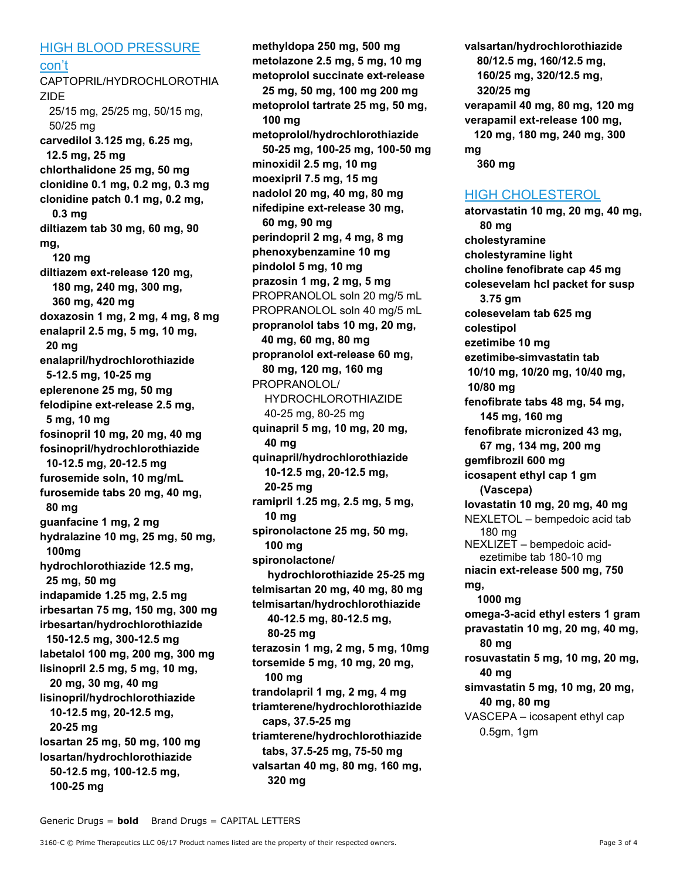#### HIGH BLOOD PRESSURE

con't

CAPTOPRIL/HYDROCHLOROTHIA ZIDE 25/15 mg, 25/25 mg, 50/15 mg, 50/25 mg carvedilol 3.125 mg, 6.25 mg, 12.5 mg, 25 mg chlorthalidone 25 mg, 50 mg clonidine 0.1 mg, 0.2 mg, 0.3 mg clonidine patch 0.1 mg, 0.2 mg, 0.3 mg diltiazem tab 30 mg, 60 mg, 90 mg, 120 mg diltiazem ext-release 120 mg, 180 mg, 240 mg, 300 mg, 360 mg, 420 mg doxazosin 1 mg, 2 mg, 4 mg, 8 mg enalapril 2.5 mg, 5 mg, 10 mg, 20 mg enalapril/hydrochlorothiazide 5-12.5 mg, 10-25 mg eplerenone 25 mg, 50 mg felodipine ext-release 2.5 mg, 5 mg, 10 mg fosinopril 10 mg, 20 mg, 40 mg fosinopril/hydrochlorothiazide 10-12.5 mg, 20-12.5 mg furosemide soln, 10 mg/mL furosemide tabs 20 mg, 40 mg, 80 mg guanfacine 1 mg, 2 mg hydralazine 10 mg, 25 mg, 50 mg, 100mg hydrochlorothiazide 12.5 mg, 25 mg, 50 mg indapamide 1.25 mg, 2.5 mg irbesartan 75 mg, 150 mg, 300 mg irbesartan/hydrochlorothiazide 150-12.5 mg, 300-12.5 mg labetalol 100 mg, 200 mg, 300 mg lisinopril 2.5 mg, 5 mg, 10 mg, 20 mg, 30 mg, 40 mg lisinopril/hydrochlorothiazide 10-12.5 mg, 20-12.5 mg, 20-25 mg losartan 25 mg, 50 mg, 100 mg losartan/hydrochlorothiazide 50-12.5 mg, 100-12.5 mg, 100-25 mg

methyldopa 250 mg, 500 mg metolazone 2.5 mg, 5 mg, 10 mg metoprolol succinate ext-release 25 mg, 50 mg, 100 mg 200 mg metoprolol tartrate 25 mg, 50 mg, 100 mg metoprolol/hydrochlorothiazide 50-25 mg, 100-25 mg, 100-50 mg minoxidil 2.5 mg, 10 mg moexipril 7.5 mg, 15 mg nadolol 20 mg, 40 mg, 80 mg nifedipine ext-release 30 mg, 60 mg, 90 mg perindopril 2 mg, 4 mg, 8 mg phenoxybenzamine 10 mg pindolol 5 mg, 10 mg prazosin 1 mg, 2 mg, 5 mg PROPRANOLOL soln 20 mg/5 mL PROPRANOLOL soln 40 mg/5 mL propranolol tabs 10 mg, 20 mg, 40 mg, 60 mg, 80 mg propranolol ext-release 60 mg, 80 mg, 120 mg, 160 mg PROPRANOLOL/ HYDROCHLOROTHIAZIDE 40-25 mg, 80-25 mg quinapril 5 mg, 10 mg, 20 mg, 40 mg quinapril/hydrochlorothiazide 10-12.5 mg, 20-12.5 mg, 20-25 mg ramipril 1.25 mg, 2.5 mg, 5 mg, 10 mg spironolactone 25 mg, 50 mg, 100 mg spironolactone/ hydrochlorothiazide 25-25 mg telmisartan 20 mg, 40 mg, 80 mg telmisartan/hydrochlorothiazide 40-12.5 mg, 80-12.5 mg, 80-25 mg terazosin 1 mg, 2 mg, 5 mg, 10mg torsemide 5 mg, 10 mg, 20 mg, 100 mg trandolapril 1 mg, 2 mg, 4 mg triamterene/hydrochlorothiazide caps, 37.5-25 mg triamterene/hydrochlorothiazide tabs, 37.5-25 mg, 75-50 mg valsartan 40 mg, 80 mg, 160 mg, 320 mg

valsartan/hydrochlorothiazide 80/12.5 mg, 160/12.5 mg, 160/25 mg, 320/12.5 mg, 320/25 mg verapamil 40 mg, 80 mg, 120 mg verapamil ext-release 100 mg, 120 mg, 180 mg, 240 mg, 300 mg 360 mg

## HIGH CHOLESTEROL

atorvastatin 10 mg, 20 mg, 40 mg, 80 mg cholestyramine cholestyramine light choline fenofibrate cap 45 mg colesevelam hcl packet for susp 3.75 gm colesevelam tab 625 mg colestipol ezetimibe 10 mg ezetimibe-simvastatin tab 10/10 mg, 10/20 mg, 10/40 mg, 10/80 mg fenofibrate tabs 48 mg, 54 mg, 145 mg, 160 mg fenofibrate micronized 43 mg, 67 mg, 134 mg, 200 mg gemfibrozil 600 mg icosapent ethyl cap 1 gm (Vascepa) lovastatin 10 mg, 20 mg, 40 mg NEXLETOL – bempedoic acid tab 180 mg NEXLIZET – bempedoic acidezetimibe tab 180-10 mg niacin ext-release 500 mg, 750 mg, 1000 mg omega-3-acid ethyl esters 1 gram pravastatin 10 mg, 20 mg, 40 mg, 80 mg rosuvastatin 5 mg, 10 mg, 20 mg, 40 mg simvastatin 5 mg, 10 mg, 20 mg, 40 mg, 80 mg VASCEPA – icosapent ethyl cap 0.5gm, 1gm

Generic Drugs = **bold** Brand Drugs = CAPITAL LETTERS